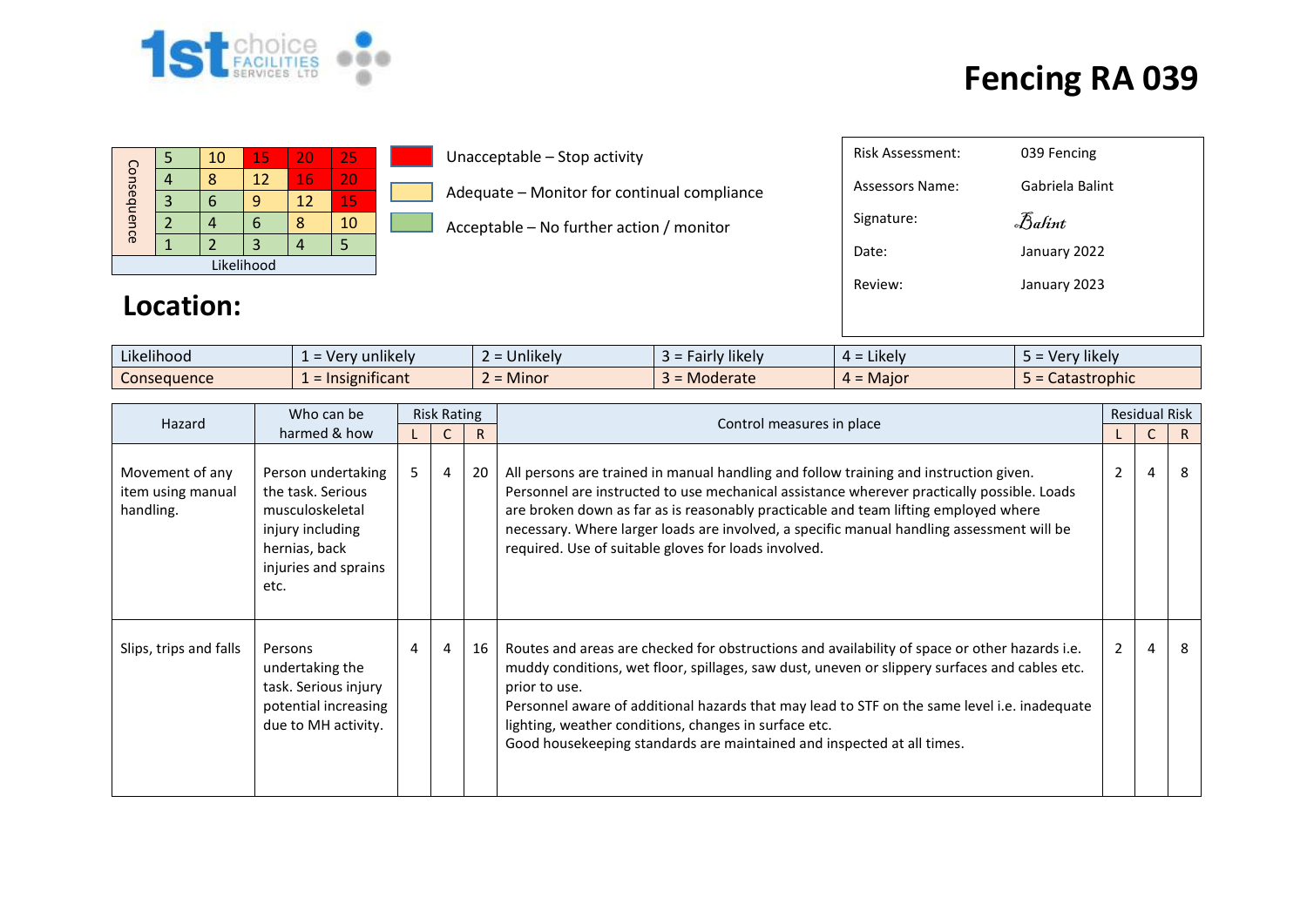

### **Fencing RA 039**

| Consequence |  | 10 | 15 | 20 | 25 |  |  |  |
|-------------|--|----|----|----|----|--|--|--|
|             |  |    | 12 | 16 | 20 |  |  |  |
|             |  |    |    | 12 | 15 |  |  |  |
|             |  |    | ۰  |    | 10 |  |  |  |
|             |  |    |    |    |    |  |  |  |
| Likelihood  |  |    |    |    |    |  |  |  |

#### Unacceptable – Stop activity

- Adequate Monitor for continual compliance
- Acceptable No further action / monitor

### **Location:**

| $\cdots$<br>$\cdots$<br>Likelihood | $\blacksquare$<br>unlikelv<br>$\overline{10}$<br>$\sim$<br>$\overline{\phantom{0}}$<br>$\mathbf{v}$ | $\cdots$<br>∽<br><b>Jnlikely</b> | <i>F</i> airly likely<br>-- | .<br>$\overline{\phantom{a}}$ Likely $\overline{\phantom{a}}$<br>$\mu$ - | $\cdots$<br><b>'likely</b><br>ver |
|------------------------------------|-----------------------------------------------------------------------------------------------------|----------------------------------|-----------------------------|--------------------------------------------------------------------------|-----------------------------------|
| Consequence                        | .<br>nsignificant<br>$=$ Ir                                                                         | -<br><b>Minor</b>                | Moderate                    | . Maior<br>. .                                                           | <b>tastrophic</b><br>caldsli      |

| Hazard                                            | Who can be                                                                                                                      | <b>Risk Rating</b> |                |    | Control measures in place                                                                                                                                                                                                                                                                                                                                                                                                                          |                | <b>Residual Risk</b> |    |
|---------------------------------------------------|---------------------------------------------------------------------------------------------------------------------------------|--------------------|----------------|----|----------------------------------------------------------------------------------------------------------------------------------------------------------------------------------------------------------------------------------------------------------------------------------------------------------------------------------------------------------------------------------------------------------------------------------------------------|----------------|----------------------|----|
|                                                   | harmed & how                                                                                                                    |                    |                | R  |                                                                                                                                                                                                                                                                                                                                                                                                                                                    |                |                      | R. |
| Movement of any<br>item using manual<br>handling. | Person undertaking<br>the task. Serious<br>musculoskeletal<br>injury including<br>hernias, back<br>injuries and sprains<br>etc. | 5                  | $\overline{4}$ | 20 | All persons are trained in manual handling and follow training and instruction given.<br>Personnel are instructed to use mechanical assistance wherever practically possible. Loads<br>are broken down as far as is reasonably practicable and team lifting employed where<br>necessary. Where larger loads are involved, a specific manual handling assessment will be<br>required. Use of suitable gloves for loads involved.                    | 2              | 4                    | 8  |
| Slips, trips and falls                            | Persons<br>undertaking the<br>task. Serious injury<br>potential increasing<br>due to MH activity.                               | 4                  | 4              | 16 | Routes and areas are checked for obstructions and availability of space or other hazards i.e.<br>muddy conditions, wet floor, spillages, saw dust, uneven or slippery surfaces and cables etc.<br>prior to use.<br>Personnel aware of additional hazards that may lead to STF on the same level i.e. inadequate<br>lighting, weather conditions, changes in surface etc.<br>Good housekeeping standards are maintained and inspected at all times. | $\overline{2}$ | 4                    | 8  |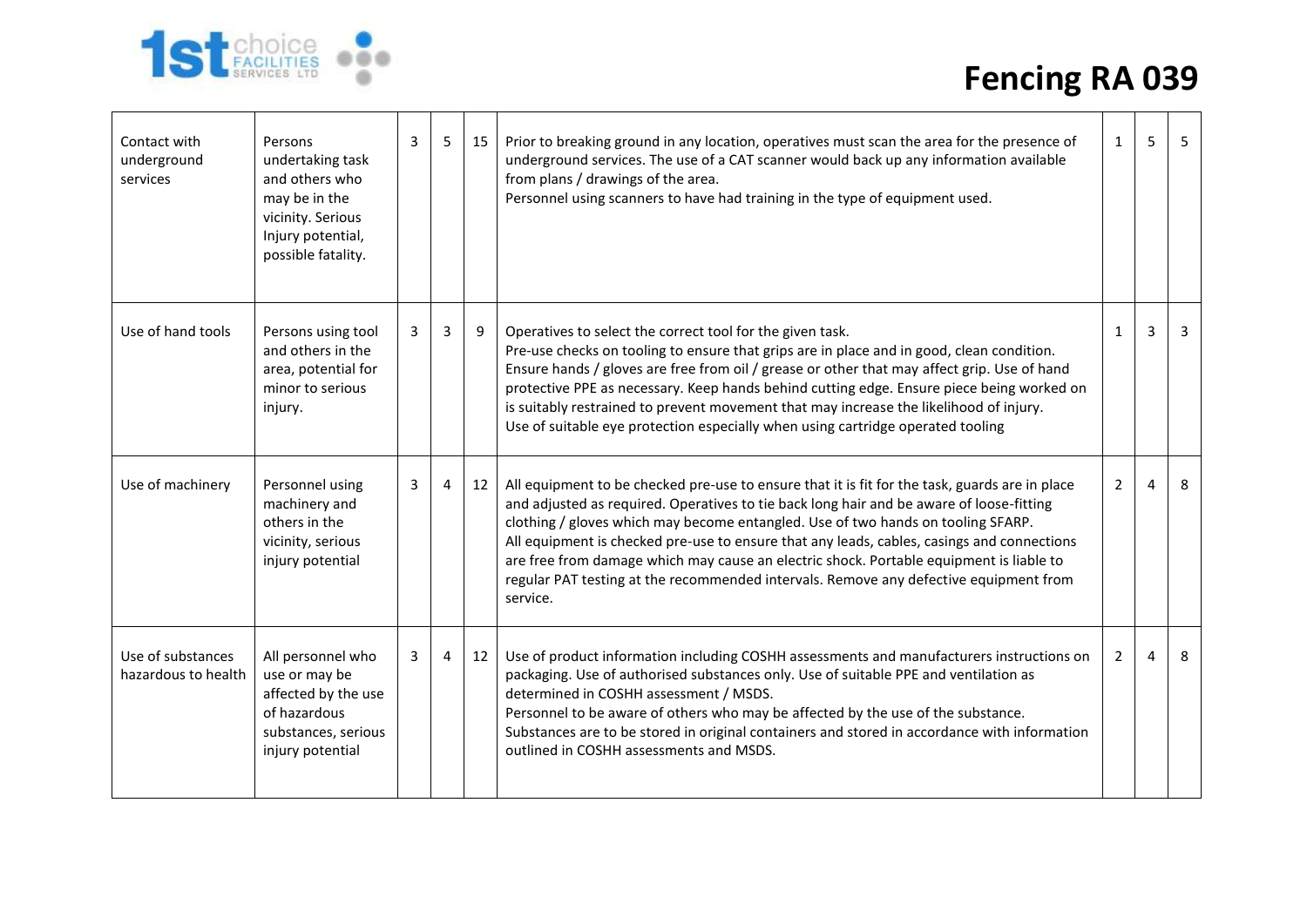

# **Fencing RA 039**

| Contact with<br>underground<br>services  | Persons<br>undertaking task<br>and others who<br>may be in the<br>vicinity. Serious<br>Injury potential,<br>possible fatality. | 3 | 5 | 15 | Prior to breaking ground in any location, operatives must scan the area for the presence of<br>underground services. The use of a CAT scanner would back up any information available<br>from plans / drawings of the area.<br>Personnel using scanners to have had training in the type of equipment used.                                                                                                                                                                                                                                                                  | 1              | 5        | -5             |
|------------------------------------------|--------------------------------------------------------------------------------------------------------------------------------|---|---|----|------------------------------------------------------------------------------------------------------------------------------------------------------------------------------------------------------------------------------------------------------------------------------------------------------------------------------------------------------------------------------------------------------------------------------------------------------------------------------------------------------------------------------------------------------------------------------|----------------|----------|----------------|
| Use of hand tools                        | Persons using tool<br>and others in the<br>area, potential for<br>minor to serious<br>injury.                                  | 3 | 3 | 9  | Operatives to select the correct tool for the given task.<br>Pre-use checks on tooling to ensure that grips are in place and in good, clean condition.<br>Ensure hands / gloves are free from oil / grease or other that may affect grip. Use of hand<br>protective PPE as necessary. Keep hands behind cutting edge. Ensure piece being worked on<br>is suitably restrained to prevent movement that may increase the likelihood of injury.<br>Use of suitable eye protection especially when using cartridge operated tooling                                              | $\mathbf{1}$   | 3        | $\overline{3}$ |
| Use of machinery                         | Personnel using<br>machinery and<br>others in the<br>vicinity, serious<br>injury potential                                     | 3 | 4 | 12 | All equipment to be checked pre-use to ensure that it is fit for the task, guards are in place<br>and adjusted as required. Operatives to tie back long hair and be aware of loose-fitting<br>clothing / gloves which may become entangled. Use of two hands on tooling SFARP.<br>All equipment is checked pre-use to ensure that any leads, cables, casings and connections<br>are free from damage which may cause an electric shock. Portable equipment is liable to<br>regular PAT testing at the recommended intervals. Remove any defective equipment from<br>service. | $\overline{2}$ | 4        | 8              |
| Use of substances<br>hazardous to health | All personnel who<br>use or may be<br>affected by the use<br>of hazardous<br>substances, serious<br>injury potential           | 3 | 4 | 12 | Use of product information including COSHH assessments and manufacturers instructions on<br>packaging. Use of authorised substances only. Use of suitable PPE and ventilation as<br>determined in COSHH assessment / MSDS.<br>Personnel to be aware of others who may be affected by the use of the substance.<br>Substances are to be stored in original containers and stored in accordance with information<br>outlined in COSHH assessments and MSDS.                                                                                                                    | $\overline{2}$ | $\Delta$ | 8              |